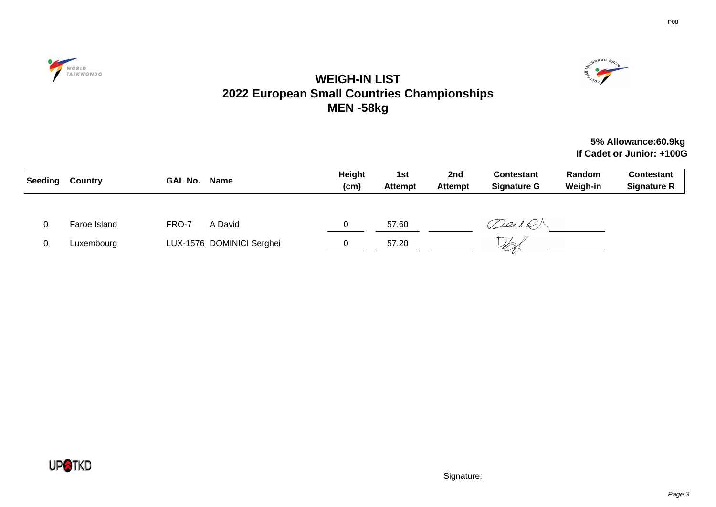



# **WEIGH-IN LIST 2022 European Small Countries Championships MEN -58kg**

### **5% Allowance:60.9kg If Cadet or Junior: +100G**

| Seeding | Country      | <b>GAL No.</b> | Name                      | Height<br>(cm) | 1st<br><b>Attempt</b> | 2nd<br><b>Attempt</b> | <b>Contestant</b><br><b>Signature G</b> | Random<br>Weigh-in | <b>Contestant</b><br><b>Signature R</b> |
|---------|--------------|----------------|---------------------------|----------------|-----------------------|-----------------------|-----------------------------------------|--------------------|-----------------------------------------|
|         |              |                |                           |                |                       |                       |                                         |                    |                                         |
|         | Faroe Island | FRO-7          | A David                   | 0              | 57.60                 |                       | Deil P                                  |                    |                                         |
|         | Luxembourg   |                | LUX-1576 DOMINICI Serghei |                | 57.20                 |                       | UH                                      |                    |                                         |

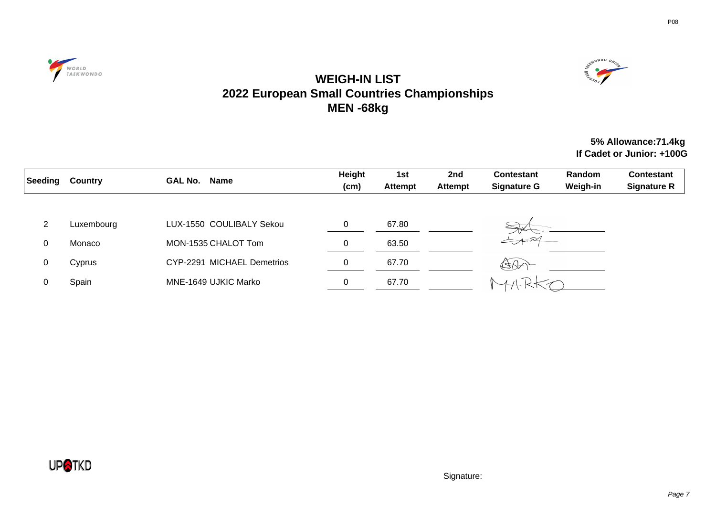



## **WEIGH-IN LIST 2022 European Small Countries Championships MEN -68kg**

### **5% Allowance:71.4kg If Cadet or Junior: +100G**

| Seeding | <b>Country</b> | <b>GAL No.</b><br><b>Name</b> | <b>Height</b><br>(cm) | 1st<br><b>Attempt</b> | 2nd<br><b>Attempt</b> | <b>Contestant</b><br><b>Signature G</b> | Random<br>Weigh-in | <b>Contestant</b><br><b>Signature R</b> |
|---------|----------------|-------------------------------|-----------------------|-----------------------|-----------------------|-----------------------------------------|--------------------|-----------------------------------------|
| 2       | Luxembourg     | LUX-1550 COULIBALY Sekou      | 0                     | 67.80                 |                       |                                         |                    |                                         |
| 0       | Monaco         | MON-1535 CHALOT Tom           | $\sqrt{2}$<br>υ       | 63.50                 |                       | $\rightarrow$                           |                    |                                         |
| 0       | Cyprus         | CYP-2291 MICHAEL Demetrios    | 0                     | 67.70                 |                       | $480 -$                                 |                    |                                         |
| 0       | Spain          | MNE-1649 UJKIC Marko          | 0                     | 67.70                 |                       |                                         |                    |                                         |

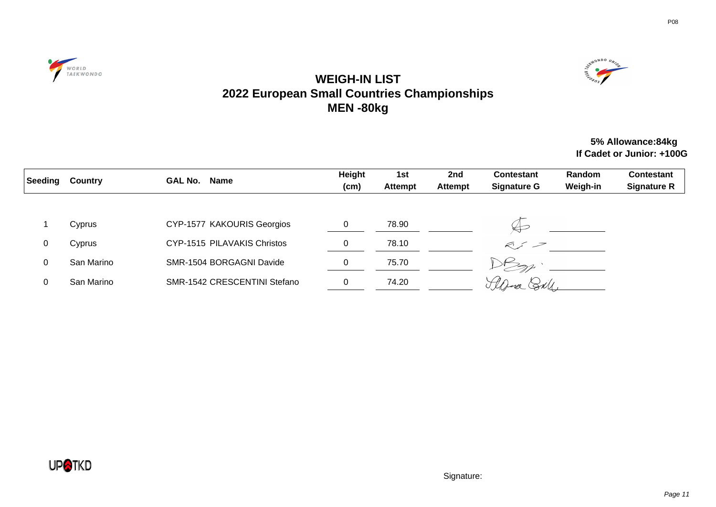



## **WEIGH-IN LIST 2022 European Small Countries Championships MEN -80kg**

### **5% Allowance:84kg If Cadet or Junior: +100G**

| Seeding | <b>Country</b> | Name<br><b>GAL No.</b>       | Height<br>(cm) | 1st<br><b>Attempt</b> | 2nd<br><b>Attempt</b> | <b>Contestant</b><br><b>Signature G</b> | <b>Random</b><br>Weigh-in | <b>Contestant</b><br><b>Signature R</b> |
|---------|----------------|------------------------------|----------------|-----------------------|-----------------------|-----------------------------------------|---------------------------|-----------------------------------------|
|         | Cyprus         | CYP-1577 KAKOURIS Georgios   |                | 78.90                 |                       |                                         |                           |                                         |
| 0       | Cyprus         | CYP-1515 PILAVAKIS Christos  | 0              | 78.10                 |                       | $\mathcal{K}$ $\mathcal{I}$             |                           |                                         |
| 0       | San Marino     | SMR-1504 BORGAGNI Davide     | 0              | 75.70                 |                       |                                         |                           |                                         |
| 0       | San Marino     | SMR-1542 CRESCENTINI Stefano | 0              | 74.20                 |                       | Here SN                                 |                           |                                         |

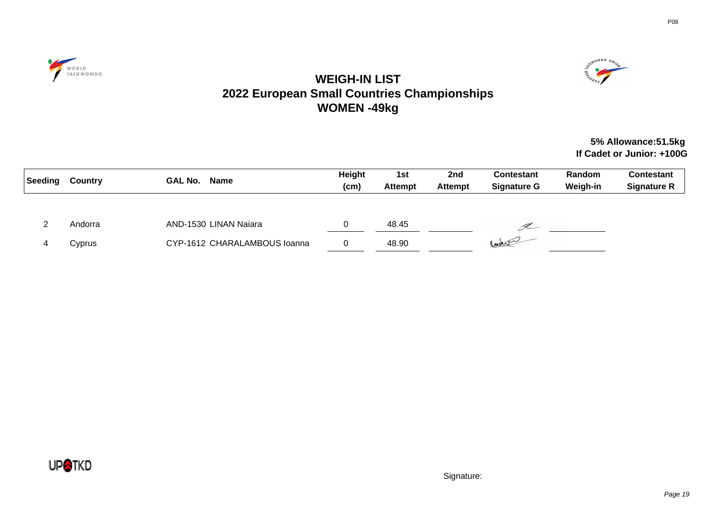



# **WEIGH-IN LIST 2022 European Small Countries Championships WOMEN -49kg**

### **5% Allowance:51.5kg If Cadet or Junior: +100G**

| Seeding | <b>Country</b> | <b>GAL No.</b><br>Name       | Height<br>(cm) | 1st<br><b>Attempt</b> | 2nd<br><b>Attempt</b> | <b>Contestant</b><br><b>Signature G</b> | Random<br>Weigh-in | Contestant<br><b>Signature R</b> |
|---------|----------------|------------------------------|----------------|-----------------------|-----------------------|-----------------------------------------|--------------------|----------------------------------|
|         |                |                              |                |                       |                       |                                         |                    |                                  |
|         | Andorra        | AND-1530 LINAN Naiara        |                | 48.45                 |                       | (L-                                     |                    |                                  |
|         | Cyprus         | CYP-1612 CHARALAMBOUS Ioanna | 0              | 48.90                 |                       | Craw                                    |                    |                                  |